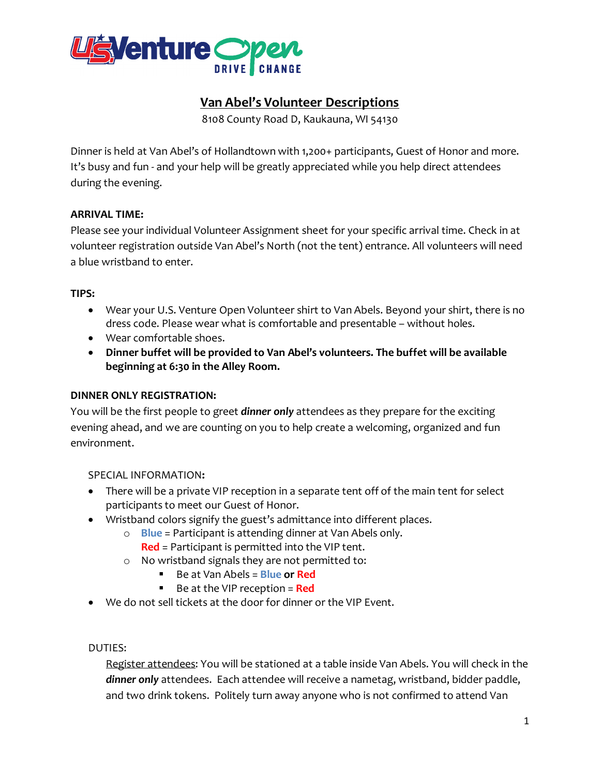

## **Van Abel's Volunteer Descriptions**

8108 County Road D, Kaukauna, WI 54130

Dinner is held at Van Abel's of Hollandtown with 1,200+ participants, Guest of Honor and more. It's busy and fun - and your help will be greatly appreciated while you help direct attendees during the evening.

## **ARRIVAL TIME:**

Please see your individual Volunteer Assignment sheet for your specific arrival time. Check in at volunteer registration outside Van Abel's North (not the tent) entrance. All volunteers will need a blue wristband to enter.

## **TIPS:**

- Wear your U.S. Venture Open Volunteer shirt to Van Abels. Beyond your shirt, there is no dress code. Please wear what is comfortable and presentable – without holes.
- Wear comfortable shoes.
- **Dinner buffet will be provided to Van Abel's volunteers. The buffet will be available beginning at 6:30 in the Alley Room.**

#### **DINNER ONLY REGISTRATION:**

You will be the first people to greet *dinner only* attendees as they prepare for the exciting evening ahead, and we are counting on you to help create a welcoming, organized and fun environment.

SPECIAL INFORMATION**:** 

- There will be a private VIP reception in a separate tent off of the main tent for select participants to meet our Guest of Honor.
- Wristband colors signify the guest's admittance into different places.
	- o **Blue** = Participant is attending dinner at Van Abels only.
		- **Red** = Participant is permitted into the VIP tent.
	- o No wristband signals they are not permitted to:
		- Be at Van Abels = **Blue or Red**
		- Be at the VIP reception = **Red**
- We do not sell tickets at the door for dinner or the VIP Event.

DUTIES:

Register attendees: You will be stationed at a table inside Van Abels. You will check in the *dinner only* attendees. Each attendee will receive a nametag, wristband, bidder paddle, and two drink tokens. Politely turn away anyone who is not confirmed to attend Van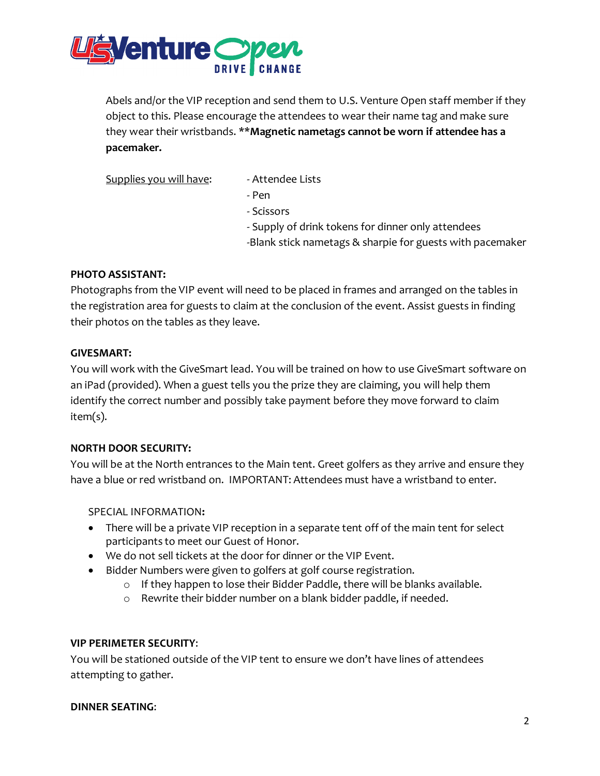

Abels and/or the VIP reception and send them to U.S. Venture Open staff member if they object to this. Please encourage the attendees to wear their name tag and make sure they wear their wristbands. \*\***Magnetic nametags cannot be worn if attendee has a pacemaker.**

Supplies you will have: - Attendee Lists

- 
- Pen
- Scissors
- Supply of drink tokens for dinner only attendees
- -Blank stick nametags & sharpie for guests with pacemaker

#### **PHOTO ASSISTANT:**

Photographs from the VIP event will need to be placed in frames and arranged on the tables in the registration area for guests to claim at the conclusion of the event. Assist guests in finding their photos on the tables as they leave.

#### **GIVESMART:**

You will work with the GiveSmart lead. You will be trained on how to use GiveSmart software on an iPad (provided). When a guest tells you the prize they are claiming, you will help them identify the correct number and possibly take payment before they move forward to claim item(s).

#### **NORTH DOOR SECURITY:**

You will be at the North entrances to the Main tent. Greet golfers as they arrive and ensure they have a blue or red wristband on. IMPORTANT: Attendees must have a wristband to enter.

SPECIAL INFORMATION**:** 

- There will be a private VIP reception in a separate tent off of the main tent for select participants to meet our Guest of Honor.
- We do not sell tickets at the door for dinner or the VIP Event.
- Bidder Numbers were given to golfers at golf course registration.
	- o If they happen to lose their Bidder Paddle, there will be blanks available.
	- o Rewrite their bidder number on a blank bidder paddle, if needed.

#### **VIP PERIMETER SECURITY**:

You will be stationed outside of the VIP tent to ensure we don't have lines of attendees attempting to gather.

**DINNER SEATING**: